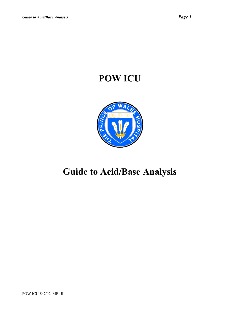# **POW ICU**



# **Guide to Acid/Base Analysis**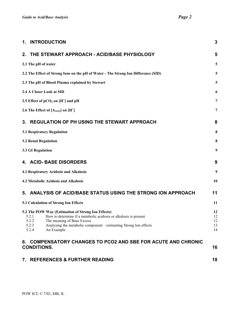| 1. INTRODUCTION                                                                                                                                                                                                                                      | 3                    |
|------------------------------------------------------------------------------------------------------------------------------------------------------------------------------------------------------------------------------------------------------|----------------------|
| THE STEWART APPROACH - ACID/BASE PHYSIOLOGY<br>$2_{-}$                                                                                                                                                                                               | 5                    |
| 2.1 The pH of water                                                                                                                                                                                                                                  | 5                    |
| 2.2 The Effect of Strong Ions on the pH of Water - The Strong Ion Difference (SID)                                                                                                                                                                   | 5                    |
| 2.3 The pH of Blood Plasma explained by Stewart                                                                                                                                                                                                      | 5                    |
| 2.4 A Closer Look at SID                                                                                                                                                                                                                             | 6                    |
| 2.5 Effect of $pCO2$ on $[H+]$ and $pH$                                                                                                                                                                                                              | 7                    |
| 2.6 The Effect of $[A_{TOT}]$ on $[H^+]$                                                                                                                                                                                                             | 7                    |
| <b>REGULATION OF PH USING THE STEWART APPROACH</b><br>3.                                                                                                                                                                                             | 8                    |
| 3.1 Respiratory Regulation                                                                                                                                                                                                                           | 8                    |
| <b>3.2 Renal Regulation</b>                                                                                                                                                                                                                          | 8                    |
| 3.3 GI Regulation                                                                                                                                                                                                                                    | 9                    |
| <b>ACID- BASE DISORDERS</b><br>4.                                                                                                                                                                                                                    | 9                    |
| 4.1 Respiratory Acidosis and Alkalosis                                                                                                                                                                                                               | 9                    |
| 4.2 Metabolic Acidosis and Alkalosis                                                                                                                                                                                                                 | 10                   |
| 5. ANALYSIS OF ACID/BASE STATUS USING THE STRONG ION APPROACH                                                                                                                                                                                        | 11                   |
| 5.1 Calculation of Strong Ion Effects                                                                                                                                                                                                                | 11                   |
| 5.2 The POW Way (Estimation of Strong Ion Effects)<br>How to determine if a metabolic acidosis or alkalosis is present<br>5.2.1<br>5.2.2<br>The meaning of Base Excess<br>5.2.3<br>Analysing the metabolic component - estimating Strong Ion effects | 12<br>12<br>12<br>13 |
| 5.2.4<br>An Example<br>6. COMPENSATORY CHANGES TO PCO2 AND SBE FOR ACUTE AND CHRONIC<br><b>CONDITIONS.</b>                                                                                                                                           | 14<br>16             |

| 7. REFERENCES & FURTHER READING |  |
|---------------------------------|--|
|---------------------------------|--|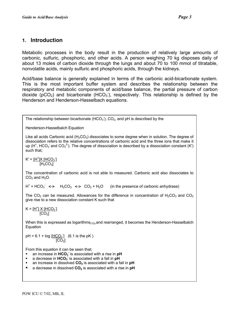## <span id="page-2-0"></span>**1. Introduction**

Metabolic processes in the body result in the production of relatively large amounts of carbonic, sulfuric, phosphoric, and other acids. A person weighing 70 kg disposes daily of about 13 moles of carbon dioxide through the lungs and about 70 to 100 mmol of titratable, nonvolatile acids, mainly sulfuric and phosphoric acids, through the kidneys.

Acid/base balance is generally explained in terms of the carbonic acid-bicarbonate system. This is the most important buffer system and describes the relationship between the respiratory and metabolic components of acid/base balance, the partial pressure of carbon dioxide ( $pCO<sub>2</sub>$ ) and bicarbonate (HCO<sub>3</sub><sup>-</sup>), respectively. This relationship is defined by the Henderson and Henderson-Hasselbach equations.

The relationship between bicarbonate (HCO $_3$ ), CO<sub>2</sub>, and pH is described by the

Henderson-Hasselbalch Equation

Like all acids Carbonic acid  $(H<sub>2</sub>CO<sub>3</sub>)$  dissociates to some degree when in solution. The degree of dissociation refers to the relative concentrations of carbonic acid and the three ions that make it up (H<sup>+</sup>, HCO<sub>3</sub><sup>-</sup> and CO<sub>3</sub><sup>2-</sup>). The degree of dissociation is described by a dissociation constant (K') such that;

 $K' = [H^{\dagger}]X[HCO_{3}]$  $[H<sub>2</sub>CO<sub>3</sub>]$ 

The concentration of carbonic acid is not able to measured. Carbonic acid also dissociates to  $CO<sub>2</sub>$  and  $H<sub>2</sub>O$ .

 $H^+$  + HCO<sub>3</sub>  $\iff$  H<sub>2</sub>CO<sub>3</sub>  $\iff$  CO<sub>2</sub> + H<sub>2</sub>O (in the presence of carbonic anhydrase)

The CO<sub>2</sub> can be measured. Allowances for the difference in concentration of  $H_2CO_3$  and CO<sub>2</sub> give rise to a new dissociation constant K such that

 $K = [\underline{H}^{\dagger}] \times [\underline{HCO_3}]$ ]  $[CO<sub>2</sub>]$ 

When this is expressed as logarithms<sub>(10)</sub>, and rearranged, it becomes the Henderson-Hasselbalch Equation

 $pH = 6.1 + log [HCO<sub>3</sub>]$  (6.1 is the pK)  $[CO<sub>2</sub>]$ 

From this equation it can be seen that;

- an increase in **HCO - <sup>3</sup>** is associated with a rise in **pH**
- **a** decrease in **HCO<sub>3</sub>** is associated with a fall in **pH**
- **an increase in dissolved CO<sub>2</sub>** is associated with a fall in **pH**
- a decrease in dissolved **CO2** is associated with a rise in **pH**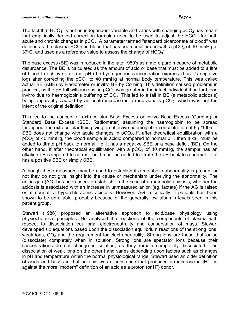The fact that HCO<sub>3</sub> is not an independent variable and varies with changing pCO<sub>2</sub> has meant that empirically derived correction formulas need to be used to adjust the  $HCO_3$  for both acute and chronic changes in  $pCO<sub>2</sub>$ . A parameter termed "standard bicarbonate of blood" was defined as the plasma  $HCO_3^-$  in blood that has been equilibrated with a pCO<sub>2</sub> of 40 mmHg at 37°C, and used as a reference value to assess the change of  $HCO<sub>3</sub>$ .

The base excess (BE) was introduced in the late 1950's as a more pure measure of metabolic disturbance. The BE is calculated as the amount of acid or base that must be added to a litre of blood to achieve a normal pH (the hydrogen ion concentration expressed as it's negative log) after correcting the  $pCO<sub>2</sub>$  to 40 mmHg at normal body temperature. This was called actual BE (ABE) by Radiometer or invitro BE by Corning. This definition caused problems in practice, as the pH fall with increasing  $pCO<sub>2</sub>$  was greater in the intact individual than for blood invitro due to haemoglobin's buffering of  $CO<sub>2</sub>$ . This led to a fall in BE (a metabolic acidosis) being apparently caused by an acute increase in an individual's  $pCO<sub>2</sub>$ , which was not the intent of the original definition.

This led to the concept of extracellular Base Excess or invivo Base Excess (Corning) or Standard Base Excess (SBE, Radiometer) assuming the haemoglobin to be spread throughout the extracellular fluid giving an effective haemoglobin concentration of 6 g/100mL. SBE does not change with acute changes in  $pCO<sub>2</sub>$ . If, after theoretical equilibration with a  $pCO<sub>2</sub>$  of 40 mmHg, the blood sample is acidic compared to normal pH, then alkali must be added to titrate pH back to normal, i.e. it has a negative SBE or a base deficit (BD). On the other hand, if after theoretical equilibration with a  $pCO<sub>2</sub>$  of 40 mmHg, the sample has an alkaline pH compared to normal, acid must be added to titrate the pH back to a normal i.e. it has a positive SBE or simply SBE.

Although these measures may be used to establish if a metabolic abnormality is present or not they do not give insight into the cause or mechanism underlying the abnormality. The anion gap (AG) has been used to establish, in the case of a metabolic acidosis, whether the acidosis is associated with an increase in unmeasured anion (eg. lactate) if the AG is raised or, if normal, a hyperchloraemic acidosis. However, AG in critically ill patients has been shown to be unreliable, probably because of the generally low albumin levels seen in this patient group.

Stewart (1986) proposed an alternative approach to acid/base physiology using physiochemical principles. He analysed the reactions of the components of plasma with respect to dissociation equilibria, electroneutrality and conservation of mass. Stewart developed six equations based upon the dissociation equilibrium reactions of the strong ions, weak ions,  $CO<sub>2</sub>$  and the requirement for electroneutrality. Strong ions are those that ionise (dissociate) completely when in solution. Strong ions are spectator ions because their concentrations do not change in solution, as they remain completely dissociated. The dissociation of weak ions on the other hand varies depending upon factors such as changes in pH and temperature within the normal physiological range. Stewart used an older definition of acids and bases in that an acid was a substance that produced an increase in  $[H^+]$  as against the more "modern" definition of an acid as a proton (or  $H^+$ ) donor.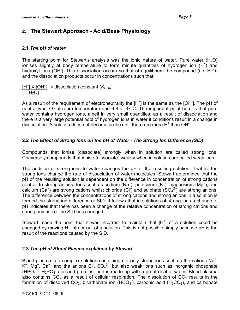# <span id="page-4-0"></span>**2. The Stewart Approach - Acid/Base Physiology**

#### **2.1** *The pH of water*

The starting point for Stewart's analysis was the ionic nature of water. Pure water  $(H_2O)$ ionises slightly at body temperature to form minute quantities of hydrogen ion  $(H<sup>+</sup>)$  and hydroxyl ions (OH). This dissociation occurs so that at equilibrium the compound (i.e.  $H_2O$ ) and the dissociation products occur in concentrations such that;

 $[H^{\dagger}] \times [OH^{\dagger}]$  = dissociation constant ( $K_{H20}$ )  $[H<sub>2</sub>O]$ 

As a result of the requirement of electroneutrality the  $[H^+]$  is the same as the [OH<sup>-</sup>]. The pH of neutrality is 7.0 at room temperature and 6.8 at  $37^{\circ}$ C. The important point here is that pure water contains hydrogen ions, albeit in very small quantities, as a result of dissociation and there is a very large potential pool of hydrogen ions in water if conditions result in a change in dissociation. A solution does not become acidic until there are more H<sup>+</sup> than OH.

## **2.2** *The Effect of Strong Ions on the pH of Water - The Strong Ion Difference (SID)*

Compounds that ionise (dissociate) strongly when in solution are called strong ions. Conversely compounds that ionise (dissociate) weakly when in solution are called weak ions.

The addition of strong ions to water changes the pH of the resulting solution. That is, the strong ions change the rate of dissociation of water molecules. Stewart determined that the pH of the resulting solution is dependent on the difference in concentration of strong cations relative to strong anions. Ions such as sodium (Na<sup>+</sup>), potassium (K<sup>+</sup>), magnesium (Mg<sup>+</sup>), and calcium (Ca<sup>+</sup>) are strong cations whilst chloride (CI<sup>-</sup>) and sulphate (SO<sub>4</sub><sup>2-</sup>) are strong anions. The difference between the concentrations of strong cations and strong anions in a solution is termed the strong ion difference or SID. It follows that in solutions of strong ions a change of pH indicates that there has been a change of the relative concentration of strong cations and strong anions i.e. the SID has changed.

Stewart made the point that it was incorrect to maintain that  $[H^+]$  of a solution could be changed by moving  $H^+$  into or out of a solution. This is not possible simply because pH is the result of the reactions caused by the SID.

## **2.3** *The pH of Blood Plasma explained by Stewart*

Blood plasma is a complex solution containing not only strong ions such as the cations  $Na<sup>+</sup>$ , K<sup>+</sup>, Mg<sup>+</sup>, Ca<sup>+</sup>, and the anions Cl<sup>-</sup>, SO<sub>4</sub><sup>2-</sup>, but also weak ions such as inorganic phosphate (HPO $_4^{3}$ , H<sub>2</sub>PO<sub>4</sub> etc) and proteins, and is made up with a great deal of water. Blood plasma also contains  $CO<sub>2</sub>$  as a result of cellular respiration. The dissolution of  $CO<sub>2</sub>$  results in the formation of dissolved  $CO_2$ , bicarbonate ion (HCO<sub>3</sub><sup>-</sup>), carbonic acid (H<sub>2</sub>CO<sub>3</sub>), and carbonate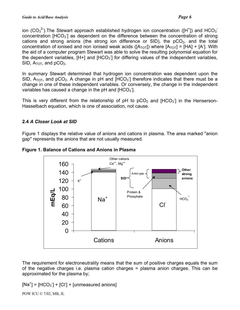<span id="page-5-0"></span>ion (CO<sub>3</sub><sup>2</sup>). The Stewart approach established hydrogen ion concentration ([H<sup>+</sup>]) and HCO<sub>3</sub><sup>-</sup> concentration [HCO<sub>3</sub>] as dependent on the difference between the concentration of strong cations and strong anions (the strong ion difference or SID), the  $pCO<sub>2</sub>$ , and the total concentration of ionised and non ionised weak acids ( $[A_{\text{TOT}}]$ ) where  $[A_{\text{TOT}}] = [HA] + [A]$ . With the aid of a computer program Stewart was able to solve the resulting polynomial equation for the dependent variables,  $[H+]$  and  $[HCO<sub>3</sub>]$  for differing values of the independent variables, SID,  $A_{\text{TOT}}$ , and  $pCO_2$ .

In summary Stewart determined that hydrogen ion concentration was dependent upon the SID,  $A_{TOT}$ , and pCO<sub>2</sub>. A change in pH and [HCO<sub>3</sub>] therefore indicates that there must be a change in one of these independent variables. Or conversely, the change in the independent variables has caused a change in the pH and  $[HCO<sub>3</sub>]$ .

This is very different from the relationship of pH to  $pCO<sub>2</sub>$  and [HCO<sub>3</sub>] in the Henserson-Hasselbach equation, which is one of association, not cause.

## **2.4** *A Closer Look at SID*

Figure 1 displays the relative value of anions and cations in plasma. The area marked "anion gap" represents the anions that are not usually measured.



**Figure 1. Balance of Cations and Anions in Plasma**

The requirement for electroneutrality means that the sum of positive charges equals the sum of the negative charges i.e. plasma cation charges = plasma anion charges. This can be approximated for the plasma by;

 $[Na^+]$  =  $[HCO_3]$  +  $[Cl^+]$  +  $[unmeasured$  anions]

POW ICU © 7/02, MB, JL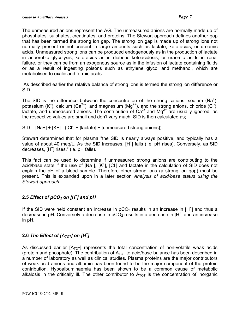<span id="page-6-0"></span>The unmeasured anions represent the AG. The unmeasured anions are normally made up of phosphates, sulphates, creatinates, and proteins. The Stewart approach defines another gap that has been termed the strong ion gap. The strong ion gap is made up of strong ions not normally present or not present in large amounts such as lactate, keto-acids, or ureamic acids. Unmeasured strong ions can be produced endogenously as in the production of lactate in anaerobic glycolysis, keto-acids as in diabetic ketoacidosis, or uraemic acids in renal failure, or they can be from an exogenous source as in the infusion of lactate containing fluids or as a result of ingesting poisons such as ethylene glycol and methanol, which are metabolised to oxalic and formic acids.

As described earlier the relative balance of strong ions is termed the strong ion difference or SID.

The SID is the difference between the concentration of the strong cations, sodium (Na<sup>+</sup>), potassium (K<sup>+</sup>), calcium (Ca<sup>2+</sup>), and magnesium (Mg<sup>2+</sup>), and the strong anions, chloride (Cl<sup>-</sup>), lactate, and unmeasured anions. The contribution of  $Ca<sup>2+</sup>$  and Mg<sup>2+</sup> are usually ignored, as the respective values are small and don't vary much. SID is then calculated as;

 $SID = [Na+] + [K+] - ([Cl] + [lactate] + [unmeasured strong anions]).$ 

Stewart determined that for plasma "the SID is nearly always positive, and typically has a value of about 40 meq/L. As the SID increases, [H<sup>+</sup>] falls (i.e. pH rises). Conversely, as SID decreases, [H<sup>+</sup>] rises." (ie. pH falls).

This fact can be used to determine if unmeasured strong anions are contributing to the acid/base state if the use of [Na<sup>+</sup>], [K<sup>+</sup>], [Cl<sup>-</sup>] and lactate in the calculation of SID does not explain the pH of a blood sample. Therefore other strong ions (a strong ion gap) must be present. This is expanded upon in a later section *Analysis of acid/base status using the Stewart approach*.

## 2.5 *Effect of pCO<sub>2</sub> on [H<sup>+</sup>] and pH*

If the SID were held constant an increase in  $pCO<sub>2</sub>$  results in an increase in [H<sup>+</sup>] and thus a decrease in pH. Conversely a decrease in pCO<sub>2</sub> results in a decrease in [H<sup>+</sup>] and an increase in pH.

## **2.6** *The Effect of [ATOT] on [H+ ]*

As discussed earlier  $[A_{\text{TOT}}]$  represents the total concentration of non-volatile weak acids (protein and phosphate). The contribution of  $A_{\text{TOT}}$  to acid/base balance has been described in a number of laboratory as well as clinical studies. Plasma proteins are the major contributors of weak acid anions and albumin has been found to be the major component of the protein contribution. Hypoalbuminaemia has been shown to be a common cause of metabolic alkalosis in the critically ill. The other contributor to  $A_{\text{TOT}}$  is the concentration of inorganic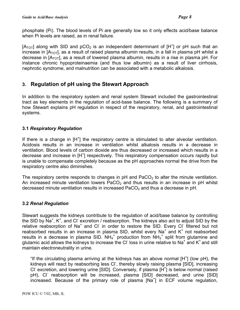<span id="page-7-0"></span>phosphate (Pi). The blood levels of Pi are generally low so it only effects acid/base balance when Pi levels are raised, as in renal failure.

[ $A_{\text{TOT}}$ ] along with SID and pCO<sub>2</sub> is an independent determinant of [H<sup>+</sup>] or pH such that an increase in  $[A_{\text{TOT}}]$ , as a result of raised plasma albumin results, in a fall in plasma pH whilst a decrease in  $[A_{\text{TOT}}]$ , as a result of lowered plasma albumin, results in a rise in plasma pH. For instance chronic hypoproteinaemia (and thus low albumin) as a result of liver cirrhosis, nephrotic syndrome, and malnutrition can be associated with a metabolic alkalosis.

# **3. Regulation of pH using the Stewart Approach**

In addition to the respiratory system and renal system Stewart included the gastrointestinal tract as key elements in the regulation of acid-base balance. The following is a summary of how Stewart explains pH regulation in respect of the respiratory, renal, and gastrointestinal systems.

## **3.1** *Respiratory Regulation*

If there is a change in  $[H^+]$  the respiratory centre is stimulated to alter alveolar ventilation. Acidosis results in an increase in ventilation whilst alkalosis results in a decrease in ventilation. Blood levels of carbon dioxide are thus decreased or increased which results in a decrease and increase in [H<sup>+</sup>] respectively. This respiratory compensation occurs rapidly but is unable to compensate completely because as the pH approaches normal the drive from the respiratory centre also diminishes.

The respiratory centre responds to changes in  $pH$  and PaCO<sub>2</sub> to alter the minute ventilation. An increased minute ventilation lowers  $PaCO<sub>2</sub>$  and thus results in an increase in pH whilst decreased minute ventilation results in increased  $PaCO<sub>2</sub>$  and thus a decrease in pH.

## **3.2** *Renal Regulation*

Stewart suggests the kidneys contribute to the regulation of acid/base balance by controlling the SID by Na<sup>+</sup>, K<sup>+</sup>, and Cl<sup>-</sup> excretion / reabsorption. The kidneys also act to adjust SID by the relative reabsorption of Na<sup>+</sup> and Cl in order to restore the SID. Every Cl filtered but not reabsorbed results in an increase in plasma SID, whilst every Na<sup>+</sup> and K<sup>+</sup> not reabsorbed results in a decrease in plasma SID. NH<sub>4</sub><sup>+</sup> production from NH<sub>3</sub><sup>+</sup> split from glutamine and glutamic acid allows the kidneys to increase the CI loss in urine relative to Na<sup>+</sup> and K<sup>+</sup> and still maintain electroneutrality in urine.

"If the circulating plasma arriving at the kidneys has an above normal  $[H^+]$  (low pH), the kidneys will react by reabsorbing less Cl<sup>-</sup>, thereby slowly raising plasma [SID], increasing CI excretion, and lowering urine [SID]. Conversely, if plasma [H<sup>+</sup>] is below normal (raised pH), Cl reabsorption will be increased, plasma [SID] decreased, and urine [SID] increased. Because of the primary role of plasma [Na<sup>+</sup> ] in ECF volume regulation,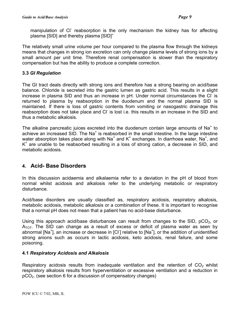<span id="page-8-0"></span>manipulation of CI reabsorption is the only mechanism the kidney has for affecting plasma [SID] and thereby plasma [SID]"

The relatively small urine volume per hour compared to the plasma flow through the kidneys means that changes in strong ion excretion can only change plasma levels of strong ions by a small amount per unit time. Therefore renal compensation is slower than the respiratory compensation but has the ability to produce a complete correction.

#### **3.3** *GI Regulation*

The GI tract deals directly with strong ions and therefore has a strong bearing on acid/base balance. Chloride is secreted into the gastric lumen as gastric acid. This results in a slight increase in plasma SID and thus an increase in pH. Under normal circumstances the Cl<sup>-</sup> is returned to plasma by reabsorption in the duodenum and the normal plasma SID is maintained. If there is loss of gastric contents from vomiting or nasogastric drainage this reabsorption does not take place and CI is lost i.e. this results in an increase in the SID and thus a metabolic alkalosis.

The alkaline pancreatic juices excreted into the duodenum contain large amounts of Na<sup>+</sup> to achieve an increased SID. The Na<sup>+</sup> is reabsorbed in the small intestine. In the large intestine water absorption takes place along with Na<sup>+</sup> and K<sup>+</sup> exchanges. In diarrhoea water, Na<sup>+</sup>, and K<sup>+</sup> are unable to be reabsorbed resulting in a loss of strong cation, a decrease in SID, and metabolic acidosis.

## **4. Acid- Base Disorders**

In this discussion acidaemia and alkalaemia refer to a deviation in the pH of blood from normal whilst acidosis and alkalosis refer to the underlying metabolic or respiratory disturbance.

Acid/base disorders are usually classified as, respiratory acidosis, respiratory alkalosis, metabolic acidosis, metabolic alkalosis or a combination of these. It is important to recognise that a normal pH does not mean that a patient has no acid-base disturbance.

Using this approach acid/base disturbances can result from changes to the SID,  $pCO<sub>2</sub>$ , or  $A_{\text{TOT}}$ . The SID can change as a result of excess or deficit of plasma water as seen by abnormal [Na<sup>+</sup>], an increase or decrease in [Cl<sup>-</sup>] relative to [Na<sup>+</sup>], or the addition of unidentified strong anions such as occurs in lactic acidosis, keto acidosis, renal failure, and some poisoning.

#### **4.1** *Respiratory Acidosis and Alkalosis*

Respiratory acidosis results from inadequate ventilation and the retention of  $CO<sub>2</sub>$  whilst respiratory alkalosis results from hyperventilation or excessive ventilation and a reduction in  $pCO<sub>2</sub>$ . (see section 6 for a discussion of compensatory changes)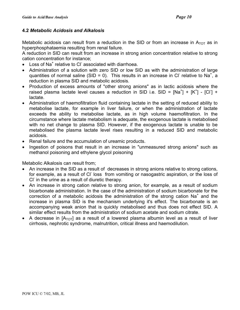#### <span id="page-9-0"></span>**4.2** *Metabolic Acidosis and Alkalosis*

Metabolic acidosis can result from a reduction in the SID or from an increase in  $A_{\text{TOT}}$  as in hyperphosphataemia resulting from renal failure.

A reduction in SID can result from an increase in strong anion concentration relative to strong cation concentration for instance;

- $\bullet$  Loss of Na<sup>+</sup> relative to Cl associated with diarrhoea.
- Administration of a solution with zero SID or low SID as with the administration of large quantities of normal saline (SID = 0). This results in an increase in Cl relative to Na<sup>+</sup>, a reduction in plasma SID and metabolic acidosis.
- Production of excess amounts of "other strong anions" as in lactic acidosis where the raised plasma lactate level causes a reduction in SID i.e. SID =  $[Na^{+}]$  +  $[K^{+}]$  -  $[Cl]$  + lactate.
- Administration of haemofiltration fluid containing lactate in the setting of reduced ability to metabolise lactate, for example in liver failure, or when the administration of lactate exceeds the ability to metabolise lactate, as in high volume haemofiltration. In the circumstance where lactate metabolism is adequate, the exogenous lactate is metabolised with no net change to plasma SID. However, if the exogenous lactate is unable to be metabolised the plasma lactate level rises resulting in a reduced SID and metabolic acidosis.
- Renal failure and the accumulation of ureamic products.
- Ingestion of poisons that result in an increase in "unmeasured strong anions" such as methanol poisoning and ethylene glycol poisoning

Metabolic Alkalosis can result from;

- An increase in the SID as a result of decreases in strong anions relative to strong cations, for example, as a result of Cl loss from vomiting or nasogastric aspiration, or the loss of CI<sup>-</sup> in the urine as a result of diuretic therapy.
- An increase in strong cation relative to strong anion, for example, as a result of sodium bicarbonate administration. In the case of the administration of sodium bicarbonate for the correction of a metabolic acidosis the administration of the strong cation  $Na<sup>+</sup>$  and the increase in plasma SID is the mechanism underlying it's effect. The bicarbonate is an accompanying weak anion that is quickly metabolised and thus does not effect SID. A similar effect results from the administration of sodium acetate and sodium citrate.
- A decrease in  $[A_{\text{TOT}}]$  as a result of a lowered plasma albumin level as a result of liver cirrhosis, nephrotic syndrome, malnutrition, critical illness and haemodilution.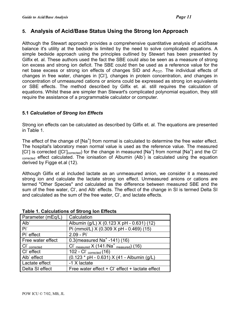# <span id="page-10-0"></span>**5. Analysis of Acid/Base Status Using the Strong Ion Approach**

Although the Stewart approach provides a comprehensive quantitative analysis of acid/base balance it's utility at the bedside is limited by the need to solve complicated equations. A simple bedside approach using the principles outlined by Stewart has been presented by Gilfix et. al. These authors used the fact the SBE could also be seen as a measure of strong ion excess and strong ion deficit. The SBE could then be used as a reference value for the net base excess or strong ion effects of changes SID and  $A_{\text{TOT}}$ . The individual effects of changes in free water, changes in [Cl- ], changes in protein concentration, and changes in concentration of unmeasured cations or anions could be expressed as strong ion equivalents or SBE effects. The method described by Gilfix et. al. still requires the calculation of equations. Whilst these are simpler than Stewart's complicated polynomial equation, they still require the assistance of a programmable calculator or computer.

## **5.1** *Calculation of Strong Ion Effects*

Strong ion effects can be calculated as described by Gilfix et. al. The equations are presented in Table 1.

The effect of the change of [Na<sup>+</sup>] from normal is calculated to determine the free water effect. The hospital's laboratory mean normal value is used as the reference value. The measured [CI] is corrected ([CI<sup>-</sup>]<sub>corrected</sub>) for the change in measured [Na<sup>+</sup>] from normal [Na<sup>+</sup>] and the CI<sup>-</sup> - The effect calculated. The ionisation of Albumin (Alb<sup>-</sup>) is calculated using the equation derived by Figge et.al (12).

Although Gilfix et al included lactate as an unmeasured anion, we consider it a measured strong ion and calculate the lactate strong ion effect. Unmeasured anions or cations are termed "Other Species" and calculated as the difference between measured SBE and the sum of the free water, CI<sup>-</sup>, and Alb<sup>-</sup> effects. The effect of the change in SI is termed Delta SI and calculated as the sum of the free water, CI<sup>-</sup>, and lactate effects.

| Parameter (mEq/L) | Calculation                                                         |
|-------------------|---------------------------------------------------------------------|
| $Alb^-$           | Albumin (g/L) X (0.123 X pH - 0.631) (12)                           |
| Pi                | Pi (mmol/L) X (0.309 X pH - 0.469) (15)                             |
| Pi effect         | $2.09 - Pi$                                                         |
| Free water effect | 0.3 (measured Na <sup>+</sup> -141) (16)                            |
| $CI-$ corrected   | $CI$ <sup>-</sup> measured $X$ (141 /Na <sup>+</sup> measured) (16) |
| $CIr$ effect      | 102 - $CI$ <sub>corrected</sub> (16)                                |
| Alb effect        | (0.123 * pH - 0.631) X (41 - Albumin (g/L)                          |
| Lactate effect    | -1 X lactate                                                        |
| Delta SI effect   | Free water effect + CI effect + lactate effect                      |

#### **Table 1. Calculations of Strong Ion Effects**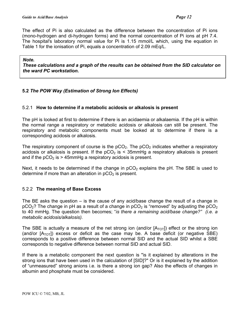<span id="page-11-0"></span>The effect of Pi is also calculated as the difference between the concentration of Pi ions (mono-hydrogen and di-hydrogen forms) and the normal concentration of Pi ions at pH 7.4. The hospital's laboratory normal value for Pi is 1.15 mmol/L which, using the equation in Table 1 for the ionisation of Pi, equals a concentration of 2.09 mEq/L.

#### *Note.*

*These calculations and a graph of the results can be obtained from the SID calculator on the ward PC workstation.* 

#### **5.2** *The POW Way (Estimation of Strong Ion Effects)*

#### 5.2.1 **How to determine if a metabolic acidosis or alkalosis is present**

The pH is looked at first to determine if there is an acidaemia or alkalaemia. If the pH is within the normal range a respiratory or metabolic acidosis or alkalosis can still be present. The respiratory and metabolic components must be looked at to determine if there is a corresponding acidosis or alkalosis.

The respiratory component of course is the  $pCO<sub>2</sub>$ . The  $pCO<sub>2</sub>$  indicates whether a respiratory acidosis or alkalosis is present. If the  $pCO<sub>2</sub>$  is < 35mmHg a respiratory alkalosis is present and if the  $pCO<sub>2</sub>$  is > 45mmHg a respiratory acidosis is present.

Next, it needs to be determined if the change in  $pCO<sub>2</sub>$  explains the pH. The SBE is used to determine if more than an alteration in  $pCO<sub>2</sub>$  is present.

#### 5.2.2 **The meaning of Base Excess**

The BE asks the question – is the cause of any acid/base change the result of a change in  $pCO<sub>2</sub>$ ? The change in pH as a result of a change in  $pCO<sub>2</sub>$  is "removed" by adjusting the  $pCO<sub>2</sub>$ to 40 mmHg. The question then becomes; "*is there a remaining acid/base change?" (i.e. a metabolic acidosis/alkalosis).* 

The SBE is actually a measure of the net strong ion (and/or  $[A_{\text{TOT}}]$ ) effect or the strong ion (and/or  $[A_{\text{TOT}}]$ ) excess or deficit as the case may be. A base deficit (or negative SBE) corresponds to a positive difference between normal SID and the actual SID whilst a SBE corresponds to negative difference between normal SID and actual SID.

If there is a metabolic component the next question is "is it explained by alterations in the strong ions that have been used in the calculation of [SID]?" Or is it explained by the addition of "unmeasured" strong anions i.e. is there a strong ion gap? Also the effects of changes in albumin and phosphate must be considered.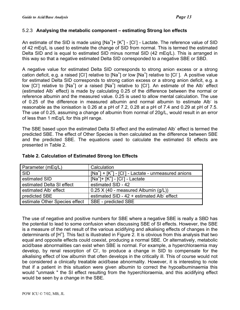#### <span id="page-12-0"></span>5.2.3 **Analysing the metabolic component – estimating Strong Ion effects**

An estimate of the SID is made using  $[Na^+]$  +  $[K^+]$  -  $[Cl^-]$  - Lactate. The reference value of SID of 42 mEq/L is used to estimate the change of SID from normal. This is termed the estimated Delta SID and is equal to estimated SID minus normal SID (42 mEq/L). This is arranged in this way so that a negative estimated Delta SID corresponded to a negative SBE or SBD.

A negative value for estimated Delta SID corresponds to strong anion excess or a strong cation deficit, e.g. a raised [Cl<sup>-</sup>] relative to [Na<sup>+</sup>] or low [Na<sup>+</sup>] relative to [Cl<sup>-</sup>]. A positive value for estimated Delta SID corresponds to strong cation excess or a strong anion deficit, e.g. a low [Cl<sup>-</sup>] relative to [Na<sup>+</sup>] or a raised [Na<sup>+</sup>] relative to [Cl<sup>-</sup>]. An estimate of the Alb effect (estimated Alb<sup>-</sup> effect) is made by calculating 0.25 of the difference between the normal or reference albumin and the measured value. 0.25 is used to allow mental calculation. The use of 0.25 of the difference in measured albumin and normal albumin to estimate Alb is reasonable as the ionisation is 0.26 at a pH of 7.2, 0.28 at a pH of 7.4 and 0.29 at pH of 7.5. The use of 0.25, assuming a change of albumin from normal of 20g/L, would result in an error of less than 1 mEq/L for this pH range.

The SBE based upon the estimated Delta SI effect and the estimated Alb<sup>-</sup> effect is termed the predicted SBE. The effect of Other Species is then calculated as the difference between SBE and the predicted SBE. The equations used to calculate the estimated SI effects are presented in Table 2.

| Parameter (mEq/L)             | Calculation                                                 |
|-------------------------------|-------------------------------------------------------------|
| <b>SID</b>                    | $[Na^+]$ + $[K^+]$ - $[Cl^-]$ - Lactate - unmeasured anions |
| estimated SID                 | $[Na^+]$ + $[K^+]$ - $[Cl^-]$ - Lactate                     |
| estimated Delta SI effect     | estimated SID - 42                                          |
| estimated Alb effect          | 0.25 X (40 - measured Albumin (g/L))                        |
| predicted SBE                 | estimated SID - 42 + estimated Alb effect                   |
| estimate Other Species effect | SBE - predicted SBE                                         |

#### **Table 2. Calculation of Estimated Strong Ion Effects**

The use of negative and positive numbers for SBE where a negative SBE is really a SBD has the potential to lead to some confusion when discussing SBE of SI effects. However, the SBE is a measure of the net result of the various acidifying and alkalising effects of changes in the determinants of [H<sup>+</sup>]. This fact is illustrated in Figure 2. It is obvious from this analysis that two equal and opposite effects could coexist, producing a normal SBE. Or alternatively, metabolic acid/base abnormalities can exist when SBE is normal. For example, a hyperchloraemia may develop, by renal resorption of CI , to produce a change in SID to compensate for the alkalising effect of low albumin that often develops in the critically ill. This of course would not be considered a clinically treatable acid/base abnormality. However, it is interesting to note that if a patient in this situation were given albumin to correct the hypoalbuminaemia this would "unmask " the SI effect resulting from the hyperchloraemia, and this acidifying effect would be seen by a change in the SBE.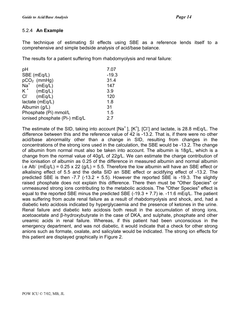#### <span id="page-13-0"></span>5.2.4 **An Example**

The technique of estimating SI effects using SBE as a reference lends itself to a comprehensive and simple bedside analysis of acid/base balance.

The results for a patient suffering from rhabdomyolysis and renal failure:

| pH                            | 7.07    |
|-------------------------------|---------|
| SBE (mEq/L)                   | $-19.3$ |
| $pCO2$ (mmHg)                 | 31.4    |
| $Na+$<br>(mEq/L)              | 147     |
| $K^+$ (mEq/L)                 | 3.9     |
| (mEq/L)<br>$CI^-$             | 120     |
| lactate (mEq/L)               | 1.8     |
| Albumin (g/L)                 | 31      |
| Phosphate (Pi) mmol/L         | 1.5     |
| ionised phosphate (Pi-) mEq/L | 2.7     |
|                               |         |

The estimate of the SID, taking into account [Na<sup>+</sup>], [K<sup>+</sup>], [Cl<sup>-</sup>] and lactate, is 28.8 mEq/L. The difference between this and the reference value of 42 is -13.2. That is, if there were no other acid/base abnormality other than a change in SID, resulting from changes in the concentrations of the strong ions used in the calculation, the SBE would be -13.2. The change of albumin from normal must also be taken into account. The albumin is 18g/L, which is a change from the normal value of 40g/L of 22g/L. We can estimate the charge contribution of the ionisation of albumin as 0.25 of the difference in measured albumin and normal albumin i.e Alb<sup>-</sup> (mEq/L) = 0.25 x 22 (g/L) = 5.5. Therefore the low albumin will have an SBE effect or alkalising effect of 5.5 and the delta SID an SBE effect or acidifying effect of -13.2. The predicted SBE is then  $-7.7$  ( $-13.2 + 5.5$ ). However the reported SBE is  $-19.3$ . The slightly raised phosphate does not explain this difference. There then must be "Other Species" or unmeasured strong ions contributing to the metabolic acidosis. The "Other Species" effect is equal to the reported SBE minus the predicted SBE  $(-19.3 + 7.7)$  ie.  $-11.6$  mEq/L. The patient was suffering from acute renal failure as a result of rhabdomyolysis and shock, and, had a diabetic keto acidosis indicated by hyperglycaemia and the presence of ketones in the urine. Renal failure and diabetic keto acidosis both result in the accumulation of strong ions, acetoacetate and β-hydroxybutyrate in the case of DKA, and sulphate, phosphate and other ureamic acids in renal failure. Whereas, if this patient had been unconscious in the emergency department, and was not diabetic, it would indicate that a check for other strong anions such as formate, oxalate, and salicylate would be indicated. The strong ion effects for this patient are displayed graphically in Figure 2.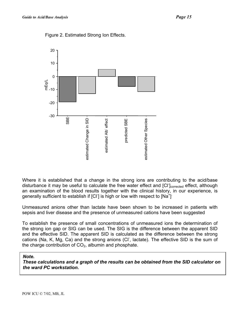

Figure 2. Estimated Strong Ion Effects.

Where it is established that a change in the strong ions are contributing to the acid/base disturbance it may be useful to calculate the free water effect and [CI<sup>-</sup>]<sub>corrected</sub> effect, although an examination of the blood results together with the clinical history, in our experience, is generally sufficient to establish if  $[C]$  is high or low with respect to  $[Na^+]$ 

Unmeasured anions other than lactate have been shown to be increased in patients with sepsis and liver disease and the presence of unmeasured cations have been suggested

To establish the presence of small concentrations of unmeasured ions the determination of the strong ion gap or SIG can be used. The SIG is the difference between the apparent SID and the effective SID. The apparent SID is calculated as the difference between the strong cations (Na, K, Mg, Ca) and the strong anions (CI<sup>-</sup>, lactate). The effective SID is the sum of the charge contribution of  $CO<sub>2</sub>$ , albumin and phosphate.

#### *Note.*

*These calculations and a graph of the results can be obtained from the SID calculator on the ward PC workstation.*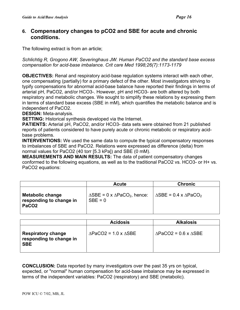## <span id="page-15-0"></span>**Compensatory changes to pCO2 and SBE for acute and chronic 6. conditions.**

The following extract is from an article;

*Schlichtig R, Grogono AW, Severinghaus JW. Human PaCO2 and the standard base excess compensation for acid-base imbalance. Crit care Med 1998;26(7):1173-1179* 

**OBJECTIVES:** Renal and respiratory acid-base regulation systems interact with each other, one compensating (partially) for a primary defect of the other. Most investigators striving to typify compensations for abnormal acid-base balance have reported their findings in terms of arterial pH, PaCO2, and/or HCO3-. However, pH and HCO3- are both altered by both respiratory and metabolic changes. We sought to simplify these relations by expressing them in terms of standard base excess (SBE in mM), which quantifies the metabolic balance and is independent of PaCO2.

**DESIGN:** Meta-analysis.

**SETTING:** Historical synthesis developed via the Internet.

**PATIENTS:** Arterial pH, PaCO2, and/or HCO3- data sets were obtained from 21 published reports of patients considered to have purely acute or chronic metabolic or respiratory acidbase problems.

**INTERVENTIONS:** We used the same data to compute the typical compensatory responses to imbalances of SBE and PaCO2. Relations were expressed as difference (delta) from normal values for PaCO2 (40 torr [5.3 kPa]) and SBE (0 mM).

**MEASUREMENTS AND MAIN RESULTS:** The data of patient compensatory changes conformed to the following equations, as well as to the traditional PaCO2 vs. HCO3- or H+ vs. PaCO2 equations:

|                                                                         | <b>Acute</b>                                                              | <b>Chronic</b>                                        |
|-------------------------------------------------------------------------|---------------------------------------------------------------------------|-------------------------------------------------------|
| <b>Metabolic change</b><br>responding to change in<br>PaCO <sub>2</sub> | $\triangle$ SBE = 0 x $\triangle$ PaCO <sub>2</sub> , hence:<br>$SBE = 0$ | $\triangle$ SBE = 0.4 x $\triangle$ PaCO <sub>2</sub> |

|                                                                    | <b>Acidosis</b>                           | <b>Alkalosis</b>                          |
|--------------------------------------------------------------------|-------------------------------------------|-------------------------------------------|
| <b>Respiratory change</b><br>responding to change in<br><b>SBE</b> | $\triangle$ PaCO2 = 1.0 x $\triangle$ SBE | $\triangle$ PaCO2 = 0.6 x $\triangle$ SBE |

**CONCLUSION:** Data reported by many investigators over the past 35 yrs on typical, expected, or "normal" human compensation for acid-base imbalance may be expressed in terms of the independent variables: PaCO2 (respiratory) and SBE (metabolic).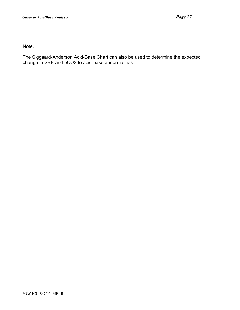Note.

The Siggaard-Anderson Acid-Base Chart can also be used to determine the expected change in SBE and pCO2 to acid-base abnormalities